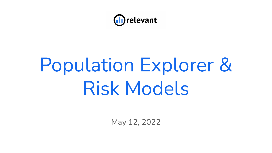

# Population Explorer & Risk Models

May 12, 2022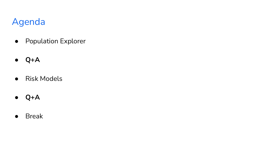## Agenda

- Population Explorer
- **● Q+A**
- Risk Models
- **● Q+A**
- Break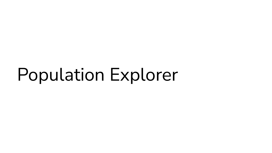# Population Explorer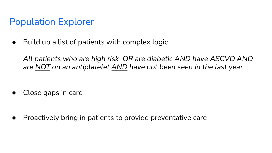## Population Explorer

 $\bullet$  Build up a list of patients with complex logic

*All patients who are high risk OR are diabetic AND have ASCVD AND are NOT on an antiplatelet AND have not been seen in the last year*

Close gaps in care

● Proactively bring in patients to provide preventative care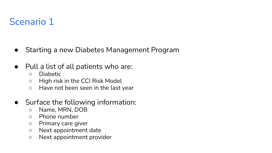## Scenario 1

- Starting a new Diabetes Management Program
- Pull a list of all patients who are:
	- Diabetic
	- High risk in the CCI Risk Model
	- Have not been seen in the last year
- Surface the following information:
	- Name, MRN, DOB
	- Phone number
	- Primary care giver
	- Next appointment date
	- Next appointment provider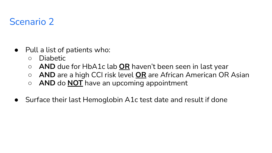## Scenario 2

- Pull a list of patients who:
	- Diabetic
	- **AND** due for HbA1c lab **OR** haven't been seen in last year
	- **AND** are a high CCI risk level **OR** are African American OR Asian
	- **○ AND** do **NOT** have an upcoming appointment
- Surface their last Hemoglobin A1c test date and result if done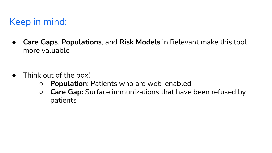## Keep in mind:

● **Care Gaps**, **Populations**, and **Risk Models** in Relevant make this tool more valuable

- Think out of the box!
	- **Population**: Patients who are web-enabled
	- **Care Gap:** Surface immunizations that have been refused by patients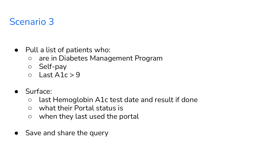### Scenario 3

- Pull a list of patients who:
	- **○** are in Diabetes Management Program
	- Self-pay
	- $\circ$  Last A1c > 9
- Surface:
	- last Hemoglobin A1c test date and result if done
	- what their Portal status is
	- when they last used the portal
- Save and share the query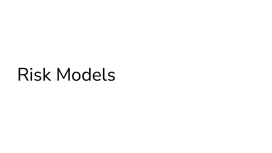# Risk Models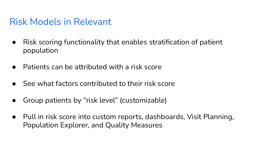#### Risk Models in Relevant

- Risk scoring functionality that enables stratification of patient population
- $\bullet$  Patients can be attributed with a risk score
- See what factors contributed to their risk score
- Group patients by "risk level" (customizable)
- Pull in risk score into custom reports, dashboards, Visit Planning, Population Explorer, and Quality Measures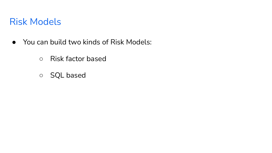#### Risk Models

- You can build two kinds of Risk Models:
	- Risk factor based
	- SQL based